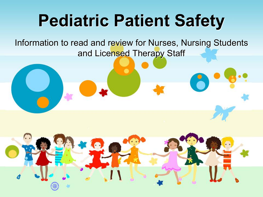## **Pediatric Patient Safety**

Information to read and review for Nurses, Nursing Students and Licensed Therapy Staff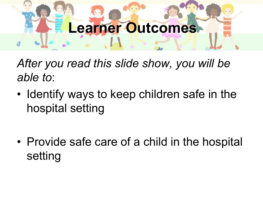# **Learner Outcomes**

*After you read this slide show, you will be able to*:

- Identify ways to keep children safe in the hospital setting
- Provide safe care of a child in the hospital setting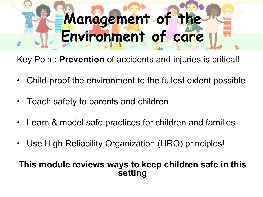# **Management of the Environment of care**

Key Point: **Prevention** of accidents and injuries is critical!

- Child-proof the environment to the fullest extent possible
- Teach safety to parents and children
- Learn & model safe practices for children and families
- Use High Reliability Organization (HRO) principles!

#### **This module reviews ways to keep children safe in this setting**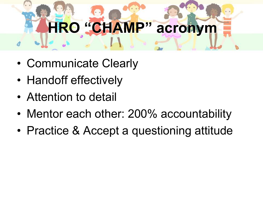# **HRO "CHAMP" acronym**

- Communicate Clearly
- Handoff effectively
- Attention to detail
- Mentor each other: 200% accountability
- Practice & Accept a questioning attitude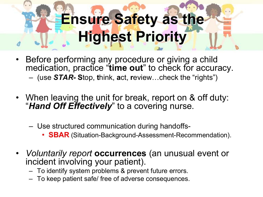## **Ensure Safety as the Highest Priority**

- Before performing any procedure or giving a child medication, practice "**time out**" to check for accuracy. – (use *STAR-* **S**top, **t**hink, **a**ct, **r**eview…check the "rights")
- When leaving the unit for break, report on & off duty: "*Hand Off Effectively*" to a covering nurse.
	- Use structured communication during handoffs-
		- **SBAR** (Situation-Background-Assessment-Recommendation).
- *Voluntarily report* **occurrences** (an unusual event or incident involving your patient).
	- To identify system problems & prevent future errors.
	- To keep patient safe/ free of adverse consequences.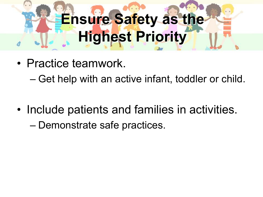# **Ensure Safety as the Highest Priority**

- Practice teamwork.
	- Get help with an active infant, toddler or child.
- Include patients and families in activities.
	- Demonstrate safe practices.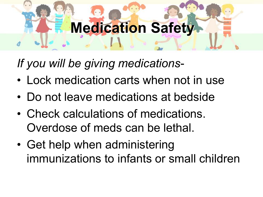### **Medication Safety**

*If you will be giving medications*-

- Lock medication carts when not in use
- Do not leave medications at bedside
- Check calculations of medications. Overdose of meds can be lethal.
- Get help when administering immunizations to infants or small children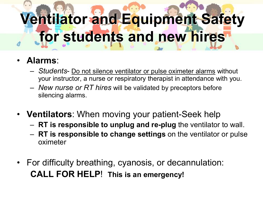## **Ventilator and Equipment Safety for students and new hires**

- **Alarms**:
	- *Students* Do not silence ventilator or pulse oximeter alarms without your instructor, a nurse or respiratory therapist in attendance with you.
	- *New nurse or RT hires* will be validated by preceptors before silencing alarms.
- **Ventilators**: When moving your patient-Seek help
	- **RT is responsible to unplug and re-plug** the ventilator to wall.
	- **RT is responsible to change settings** on the ventilator or pulse oximeter
- For difficulty breathing, cyanosis, or decannulation: **CALL FOR HELP**! **This is an emergency!**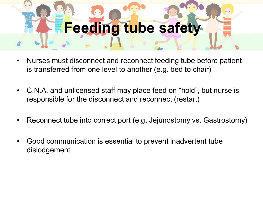### **Feeding tube safety**

- Nurses must disconnect and reconnect feeding tube before patient is transferred from one level to another (e.g. bed to chair)
- C.N.A. and unlicensed staff may place feed on "hold", but nurse is responsible for the disconnect and reconnect (restart)
- Reconnect tube into correct port (e.g. Jejunostomy vs. Gastrostomy)
- Good communication is essential to prevent inadvertent tube dislodgement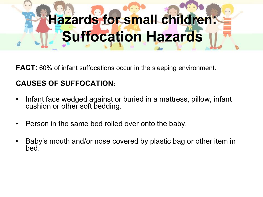## **Hazards for small children: Suffocation Hazards**

**FACT**: 60% of infant suffocations occur in the sleeping environment.

#### **CAUSES OF SUFFOCATION:**

- Infant face wedged against or buried in a mattress, pillow, infant cushion or other soft bedding.
- Person in the same bed rolled over onto the baby.
- Baby's mouth and/or nose covered by plastic bag or other item in bed.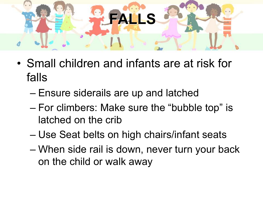

- Small children and infants are at risk for falls
	- Ensure siderails are up and latched
	- For climbers: Make sure the "bubble top" is latched on the crib
	- Use Seat belts on high chairs/infant seats
	- When side rail is down, never turn your back on the child or walk away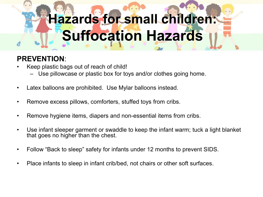## **Hazards for small children: Suffocation Hazards**

#### **PREVENTION**:

- Keep plastic bags out of reach of child!
	- Use pillowcase or plastic box for toys and/or clothes going home.
- Latex balloons are prohibited. Use Mylar balloons instead.
- Remove excess pillows, comforters, stuffed toys from cribs.
- Remove hygiene items, diapers and non-essential items from cribs.
- Use infant sleeper garment or swaddle to keep the infant warm; tuck a light blanket that goes no higher than the chest.
- Follow "Back to sleep" safety for infants under 12 months to prevent SIDS.
- Place infants to sleep in infant crib/bed, not chairs or other soft surfaces.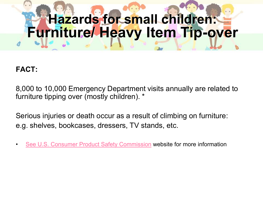## **Hazards for small children: Furniture/ Heavy Item Tip-over**

#### **FACT:**

8,000 to 10,000 Emergency Department visits annually are related to furniture tipping over (mostly children). \*

Serious injuries or death occur as a result of climbing on furniture: e.g. shelves, bookcases, dressers, TV stands, etc.

[See U.S. Consumer Product Safety Commission](http://www.cpsc.gov/CPSCPUB/PUBS/5004.pdf) website for more information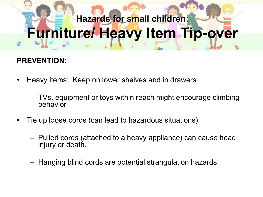## **Hazards for small children: Furniture/ Heavy Item Tip-over**

#### **PREVENTION:**

- Heavy items: Keep on lower shelves and in drawers
	- TVs, equipment or toys within reach might encourage climbing behavior
- Tie up loose cords (can lead to hazardous situations):
	- Pulled cords (attached to a heavy appliance) can cause head injury or death.
	- Hanging blind cords are potential strangulation hazards.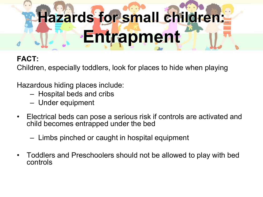# **Hazards for small children: Entrapment**

#### **FACT:**

Children, especially toddlers, look for places to hide when playing

Hazardous hiding places include:

- Hospital beds and cribs
- Under equipment
- Electrical beds can pose a serious risk if controls are activated and child becomes entrapped under the bed
	- Limbs pinched or caught in hospital equipment
- Toddlers and Preschoolers should not be allowed to play with bed controls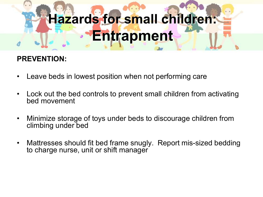## **Hazards for small children: Entrapment**

#### **PREVENTION:**

- Leave beds in lowest position when not performing care
- Lock out the bed controls to prevent small children from activating bed movement
- Minimize storage of toys under beds to discourage children from climbing under bed
- Mattresses should fit bed frame snugly. Report mis-sized bedding to charge nurse, unit or shift manager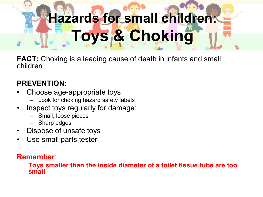## **Hazards for small children: Toys & Choking**

**FACT:** Choking is a leading cause of death in infants and small children

#### **PREVENTION**:

- Choose age-appropriate toys
	- Look for choking hazard safety labels
- Inspect toys regularly for damage:
	- Small, loose pieces
	- Sharp edges
- Dispose of unsafe toys
- Use small parts tester

#### **Remember**:

**Toys smaller than the inside diameter of a toilet tissue tube are too small**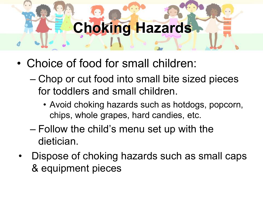## **Choking Hazards**

- Choice of food for small children:
	- Chop or cut food into small bite sized pieces for toddlers and small children.
		- Avoid choking hazards such as hotdogs, popcorn, chips, whole grapes, hard candies, etc.
	- Follow the child's menu set up with the dietician.
	- Dispose of choking hazards such as small caps & equipment pieces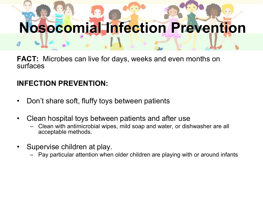## **Nosocomial Infection Prevention**

**FACT:** Microbes can live for days, weeks and even months on surfaces

#### **INFECTION PREVENTION:**

- Don't share soft, fluffy toys between patients
- Clean hospital toys between patients and after use
	- Clean with antimicrobial wipes, mild soap and water, or dishwasher are all acceptable methods.
- Supervise children at play.
	- Pay particular attention when older children are playing with or around infants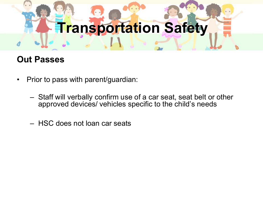# **Transportation Safety**

#### **Out Passes**

- Prior to pass with parent/guardian:
	- Staff will verbally confirm use of a car seat, seat belt or other approved devices/ vehicles specific to the child's needs
	- HSC does not loan car seats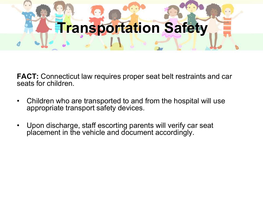# **Transportation Safety**

**FACT:** Connecticut law requires proper seat belt restraints and car seats for children.

- Children who are transported to and from the hospital will use appropriate transport safety devices.
- Upon discharge, staff escorting parents will verify car seat placement in the vehicle and document accordingly.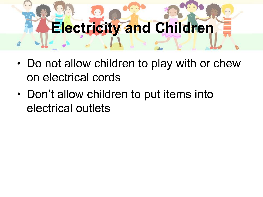# **Electricity and Children**

- Do not allow children to play with or chew on electrical cords
- Don't allow children to put items into electrical outlets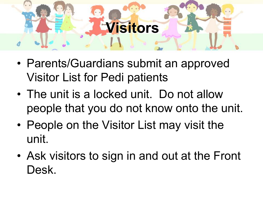## **Visitors**

- Parents/Guardians submit an approved Visitor List for Pedi patients
- The unit is a locked unit. Do not allow people that you do not know onto the unit.
- People on the Visitor List may visit the unit.
- Ask visitors to sign in and out at the Front Desk.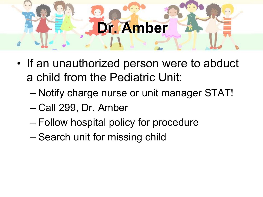### **Dr. Amber**

- If an unauthorized person were to abduct a child from the Pediatric Unit:
	- Notify charge nurse or unit manager STAT!
	- Call 299, Dr. Amber
	- Follow hospital policy for procedure
	- Search unit for missing child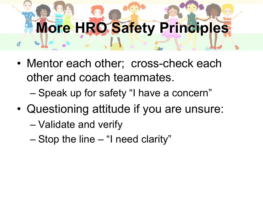# **More HRO Safety Principles**

- Mentor each other; cross-check each other and coach teammates.
	- Speak up for safety "I have a concern"
- Questioning attitude if you are unsure:
	- Validate and verify
	- Stop the line "I need clarity"